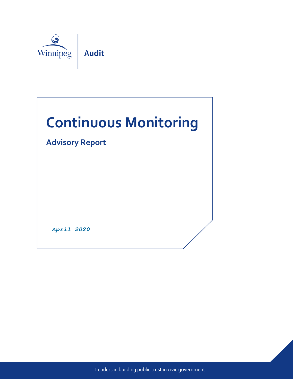

# **Continuous Monitoring**

# **Advisory Report**

**April 2020** 

Leaders in building public trust in civic government.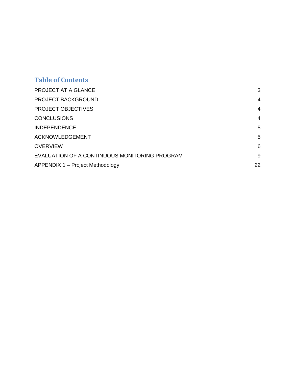## **Table of Contents**

| PROJECT AT A GLANCE                           | 3              |
|-----------------------------------------------|----------------|
| PROJECT BACKGROUND                            | $\overline{4}$ |
| <b>PROJECT OBJECTIVES</b>                     | 4              |
| <b>CONCLUSIONS</b>                            | 4              |
| <b>INDEPENDENCE</b>                           | 5              |
| <b>ACKNOWLEDGEMENT</b>                        | 5              |
| <b>OVERVIEW</b>                               | 6              |
| EVALUATION OF A CONTINUOUS MONITORING PROGRAM | 9              |
| APPENDIX 1 - Project Methodology              | 22             |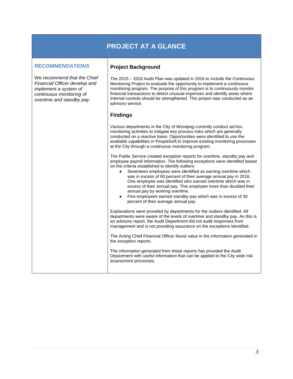## **PROJECT AT A GLANCE**

 $\mathbf{I}$ 

<span id="page-2-1"></span><span id="page-2-0"></span>

| <b>RECOMMENDATIONS</b>                                                                                                                         | <b>Project Background</b>                                                                                                                                                                                                                                                                                                                                                                                                                                                                                                                                                                                                                                     |
|------------------------------------------------------------------------------------------------------------------------------------------------|---------------------------------------------------------------------------------------------------------------------------------------------------------------------------------------------------------------------------------------------------------------------------------------------------------------------------------------------------------------------------------------------------------------------------------------------------------------------------------------------------------------------------------------------------------------------------------------------------------------------------------------------------------------|
| We recommend that the Chief<br>Financial Officer develop and<br>implement a system of<br>continuous monitoring of<br>overtime and standby pay. | The 2015 - 2018 Audit Plan was updated in 2016 to include the Continuous<br>Monitoring Project to evaluate the opportunity to implement a continuous<br>monitoring program. The purpose of this program is to continuously monitor<br>financial transactions to detect unusual expenses and identify areas where<br>internal controls should be strengthened. This project was conducted as an<br>advisory service.                                                                                                                                                                                                                                           |
|                                                                                                                                                | <b>Findings</b>                                                                                                                                                                                                                                                                                                                                                                                                                                                                                                                                                                                                                                               |
|                                                                                                                                                | Various departments in the City of Winnipeg currently conduct ad-hoc<br>monitoring activities to mitigate key process risks which are generally<br>conducted on a reactive basis. Opportunities were identified to use the<br>available capabilities in PeopleSoft to improve existing monitoring processes<br>at the City through a continuous monitoring program.                                                                                                                                                                                                                                                                                           |
|                                                                                                                                                | The Public Service created exception reports for overtime, standby pay and<br>employee payroll information. The following exceptions were identified based<br>on the criteria established to identify outliers:<br>Seventeen employees were identified as earning overtime which<br>$\bullet$<br>was in excess of 60 percent of their average annual pay in 2018.<br>One employee was identified who earned overtime which was in<br>excess of their annual pay. This employee more than doubled their<br>annual pay by working overtime.<br>Five employees earned standby pay which was in excess of 30<br>$\bullet$<br>percent of their average annual pay. |
|                                                                                                                                                | Explanations were provided by departments for the outliers identified. All<br>departments were aware of the levels of overtime and standby pay. As this is<br>an advisory report, the Audit Department did not audit responses from<br>management and is not providing assurance on the exceptions identified.                                                                                                                                                                                                                                                                                                                                                |
|                                                                                                                                                | The Acting Chief Financial Officer found value in the information generated in<br>the exception reports.                                                                                                                                                                                                                                                                                                                                                                                                                                                                                                                                                      |
|                                                                                                                                                | The information generated from these reports has provided the Audit<br>Department with useful information that can be applied to the City wide risk<br>assessment processes.                                                                                                                                                                                                                                                                                                                                                                                                                                                                                  |
|                                                                                                                                                |                                                                                                                                                                                                                                                                                                                                                                                                                                                                                                                                                                                                                                                               |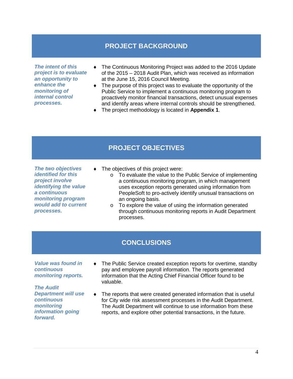### **PROJECT BACKGROUND**

<span id="page-3-0"></span>*The intent of this project is to evaluate an opportunity to enhance the monitoring of internal control processes.* 

- ♦ The Continuous Monitoring Project was added to the 2016 Update of the 2015 – 2018 Audit Plan, which was received as information at the June 15, 2016 Council Meeting.
- ♦ The purpose of this project was to evaluate the opportunity of the Public Service to implement a continuous monitoring program to proactively monitor financial transactions, detect unusual expenses and identify areas where internal controls should be strengthened.
- ♦ The project methodology is located in **Appendix 1**.

## **PROJECT OBJECTIVES**

<span id="page-3-1"></span>*The two objectives identified for this project involve identifying the value a continuous monitoring program would add to current processes.* 

- ♦ The objectives of this project were:
	- o To evaluate the value to the Public Service of implementing a continuous monitoring program, in which management uses exception reports generated using information from PeopleSoft to pro-actively identify unusual transactions on an ongoing basis.
	- o To explore the value of using the information generated through continuous monitoring reports in Audit Department processes.

### **CONCLUSIONS**

<span id="page-3-2"></span>*Value was found in continuous monitoring reports.* 

*The Audit Department will use continuous monitoring information going forward.* 

- ♦ The Public Service created exception reports for overtime, standby pay and employee payroll information. The reports generated information that the Acting Chief Financial Officer found to be valuable.
- The reports that were created generated information that is useful for City wide risk assessment processes in the Audit Department. The Audit Department will continue to use information from these reports, and explore other potential transactions, in the future.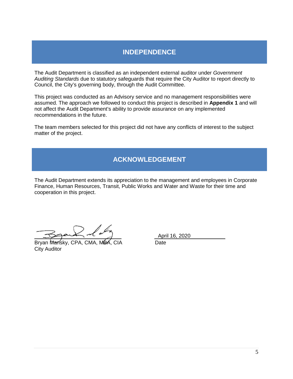## **INDEPENDENCE**

<span id="page-4-0"></span>The Audit Department is classified as an independent external auditor under *Government Auditing Standards* due to statutory safeguards that require the City Auditor to report directly to Council, the City's governing body, through the Audit Committee.

This project was conducted as an Advisory service and no management responsibilities were assumed. The approach we followed to conduct this project is described in **Appendix 1** and will not affect the Audit Department's ability to provide assurance on any implemented recommendations in the future.

The team members selected for this project did not have any conflicts of interest to the subject matter of the project.

## **ACKNOWLEDGEMENT**

<span id="page-4-1"></span>The Audit Department extends its appreciation to the management and employees in Corporate Finance, Human Resources, Transit, Public Works and Water and Waste for their time and cooperation in this project.

Bryan Mansky, CPA, CMA, MBA, CIA Date City Auditor

April 16, 2020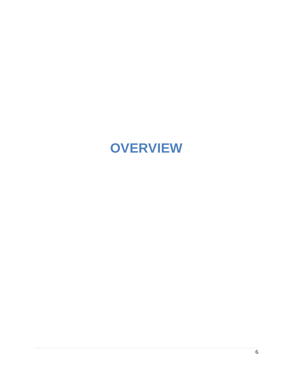# <span id="page-5-0"></span>**OVERVIEW**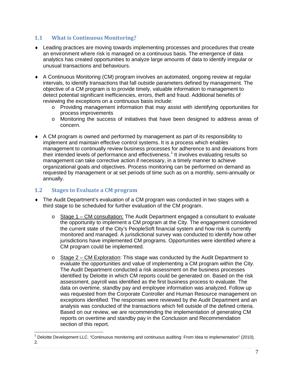#### **1.1 What is Continuous Monitoring?**

- ♦ Leading practices are moving towards implementing processes and procedures that create an environment where risk is managed on a continuous basis. The emergence of data analytics has created opportunities to analyze large amounts of data to identify irregular or unusual transactions and behaviours.
- ♦ A Continuous Monitoring (CM) program involves an automated, ongoing review at regular intervals, to identify transactions that fall outside parameters defined by management. The objective of a CM program is to provide timely, valuable information to management to detect potential significant inefficiencies, errors, theft and fraud. Additional benefits of reviewing the exceptions on a continuous basis include:
	- o Providing management information that may assist with identifying opportunities for process improvements
	- o Monitoring the success of initiatives that have been designed to address areas of concern.
- ♦ A CM program is owned and performed by management as part of its responsibility to implement and maintain effective control systems. It is a process which enables management to continually review business processes for adherence to and deviations from their intended levels of performance and effectiveness.<sup>[1](#page-2-1)</sup> It involves evaluating results so management can take corrective action if necessary, in a timely manner to achieve organizational goals and objectives. Process monitoring can be performed on demand as requested by management or at set periods of time such as on a monthly, semi-annually or annually.

#### **1.2 Stages to Evaluate a CM program**

- ♦ The Audit Department's evaluation of a CM program was conducted in two stages with a third stage to be scheduled for further evaluation of the CM program.
	- $\circ$  Stage 1 CM consultation: The Audit Department engaged a consultant to evaluate the opportunity to implement a CM program at the City. The engagement considered the current state of the City's PeopleSoft financial system and how risk is currently monitored and managed. A jurisdictional survey was conducted to identify how other jurisdictions have implemented CM programs. Opportunities were identified where a CM program could be implemented.
	- $\circ$  Stage 2 CM Exploration: This stage was conducted by the Audit Department to evaluate the opportunities and value of implementing a CM program within the City. The Audit Department conducted a risk assessment on the business processes identified by Deloitte in which CM reports could be generated on. Based on the risk assessment, payroll was identified as the first business process to evaluate. The data on overtime, standby pay and employee information was analyzed. Follow up was requested from the Corporate Controller and Human Resource management on exceptions identified. The responses were reviewed by the Audit Department and an analysis was conducted of the transactions which fell outside of the defined criteria. Based on our review, we are recommending the implementation of generating CM reports on overtime and standby pay in the Conclusion and Recommendation section of this report.

<span id="page-6-0"></span><sup>&</sup>lt;sup>1</sup> Deloitte Development LLC. "Continuous monitoring and continuous auditing: From Idea to implementation" (2010), 2.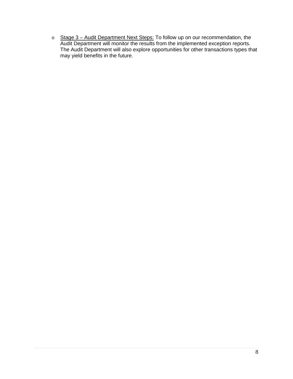o Stage 3 – Audit Department Next Steps: To follow up on our recommendation, the Audit Department will monitor the results from the implemented exception reports. The Audit Department will also explore opportunities for other transactions types that may yield benefits in the future.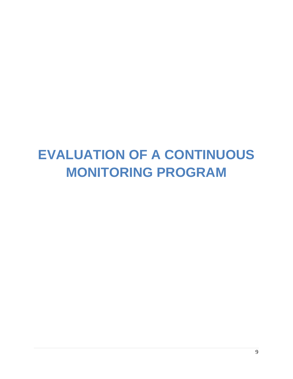# <span id="page-8-0"></span>**EVALUATION OF A CONTINUOUS MONITORING PROGRAM**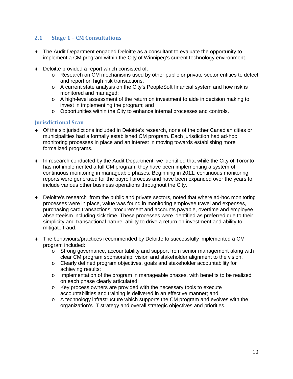#### **2.1 Stage 1 – CM Consultations**

- ♦ The Audit Department engaged Deloitte as a consultant to evaluate the opportunity to implement a CM program within the City of Winnipeg's current technology environment.
- ♦ Deloitte provided a report which consisted of:
	- o Research on CM mechanisms used by other public or private sector entities to detect and report on high risk transactions;
	- o A current state analysis on the City's PeopleSoft financial system and how risk is monitored and managed;
	- o A high-level assessment of the return on investment to aide in decision making to invest in implementing the program; and
	- o Opportunities within the City to enhance internal processes and controls.

#### **Jurisdictional Scan**

- ♦ Of the six jurisdictions included in Deloitte's research, none of the other Canadian cities or municipalities had a formally established CM program. Each jurisdiction had ad-hoc monitoring processes in place and an interest in moving towards establishing more formalized programs.
- ♦ In research conducted by the Audit Department, we identified that while the City of Toronto has not implemented a full CM program, they have been implementing a system of continuous monitoring in manageable phases. Beginning in 2011, continuous monitoring reports were generated for the payroll process and have been expanded over the years to include various other business operations throughout the City.
- ♦ Deloitte's research from the public and private sectors, noted that where ad-hoc monitoring processes were in place, value was found in monitoring employee travel and expenses, purchasing card transactions, procurement and accounts payable, overtime and employee absenteeism including sick time. These processes were identified as preferred due to their simplicity and transactional nature, ability to drive a return on investment and ability to mitigate fraud.
- ♦ The behaviours/practices recommended by Deloitte to successfully implemented a CM program included:
	- $\circ$  Strong governance, accountability and support from senior management along with clear CM program sponsorship, vision and stakeholder alignment to the vision.
	- o Clearly defined program objectives, goals and stakeholder accountability for achieving results;
	- $\circ$  Implementation of the program in manageable phases, with benefits to be realized on each phase clearly articulated;
	- o Key process owners are provided with the necessary tools to execute accountabilities and training is delivered in an effective manner; and,
	- $\circ$  A technology infrastructure which supports the CM program and evolves with the organization's IT strategy and overall strategic objectives and priorities.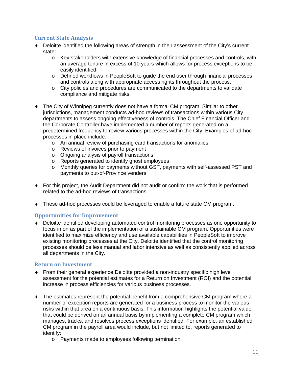#### **Current State Analysis**

- ♦ Deloitte identified the following areas of strength in their assessment of the City's current state:
	- o Key stakeholders with extensive knowledge of financial processes and controls, with an average tenure in excess of 10 years which allows for process exceptions to be easily identified.
	- o Defined workflows in PeopleSoft to guide the end user through financial processes and controls along with appropriate access rights throughout the process.
	- o City policies and procedures are communicated to the departments to validate compliance and mitigate risks.
- ♦ The City of Winnipeg currently does not have a formal CM program. Similar to other jurisdictions, management conducts ad-hoc reviews of transactions within various City departments to assess ongoing effectiveness of controls. The Chief Financial Officer and the Corporate Controller have implemented a number of reports generated on a predetermined frequency to review various processes within the City. Examples of ad-hoc processes in place include:
	- o An annual review of purchasing card transactions for anomalies
	- o Reviews of invoices prior to payment
	- o Ongoing analysis of payroll transactions
	- o Reports generated to identify ghost employees
	- o Monthly queries for payments without GST, payments with self-assessed PST and payments to out-of-Province venders
- ♦ For this project, the Audit Department did not audit or confirm the work that is performed related to the ad-hoc reviews of transactions.
- ♦ These ad-hoc processes could be leveraged to enable a future state CM program.

#### **Opportunities for Improvement**

♦ Deloitte identified developing automated control monitoring processes as one opportunity to focus in on as part of the implementation of a sustainable CM program. Opportunities were identified to maximize efficiency and use available capabilities in PeopleSoft to improve existing monitoring processes at the City. Deloitte identified that the control monitoring processes should be less manual and labor intensive as well as consistently applied across all departments in the City.

#### **Return on Investment**

- ♦ From their general experience Deloitte provided a non-industry specific high level assessment for the potential estimates for a Return on Investment (ROI) and the potential increase in process efficiencies for various business processes.
- $\bullet$  The estimates represent the potential benefit from a comprehensive CM program where a number of exception reports are generated for a business process to monitor the various risks within that area on a continuous basis. This information highlights the potential value that could be derived on an annual basis by implementing a complete CM program which manages, tracks, and resolves process exceptions identified. For example, an established CM program in the payroll area would include, but not limited to, reports generated to identify:
	- o Payments made to employees following termination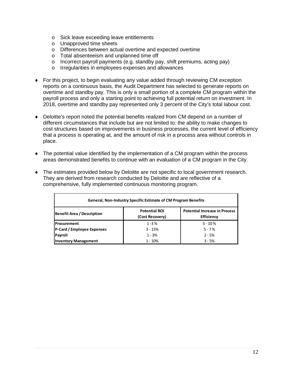- o Sick leave exceeding leave entitlements
- o Unapproved time sheets
- o Differences between actual overtime and expected overtime
- o Total absenteeism and unplanned time off
- o Incorrect payroll payments (e.g. standby pay, shift premiums, acting pay)
- o Irregularities in employees expenses and allowances
- ♦ For this project, to begin evaluating any value added through reviewing CM exception reports on a continuous basis, the Audit Department has selected to generate reports on overtime and standby pay. This is only a small portion of a complete CM program within the payroll process and only a starting point to achieving full potential return on investment. In 2018, overtime and standby pay represented only 3 percent of the City's total labour cost.
- ♦ Deloitte's report noted the potential benefits realized from CM depend on a number of different circumstances that include but are not limited to: the ability to make changes to cost structures based on improvements in business processes, the current level of efficiency that a process is operating at, and the amount of risk in a process area without controls in place.
- ♦ The potential value identified by the implementation of a CM program within the process areas demonstrated benefits to continue with an evaluation of a CM program in the City.
- ♦ The estimates provided below by Deloitte are not specific to local government research. They are derived from research conducted by Deloitte and are reflective of a comprehensive, fully implemented continuous monitoring program.

| <b>General, Non-Industry Specific Estimate of CM Program Benefits</b> |                                         |                                                           |  |
|-----------------------------------------------------------------------|-----------------------------------------|-----------------------------------------------------------|--|
| <b>Benefit Area / Description</b>                                     | <b>Potential ROI</b><br>(Cost Recovery) | <b>Potential Increase in Process</b><br><b>Efficiency</b> |  |
| Procurement                                                           | $1 - 3%$                                | $5 - 10%$                                                 |  |
| P-Card / Employee Expenses                                            | $3 - 15%$                               | $5 - 7%$                                                  |  |
| Payroll                                                               | $1 - 3%$                                | $2 - 5%$                                                  |  |
| <b>Inventory Management</b>                                           | $1 - 10%$                               | $3 - 5%$                                                  |  |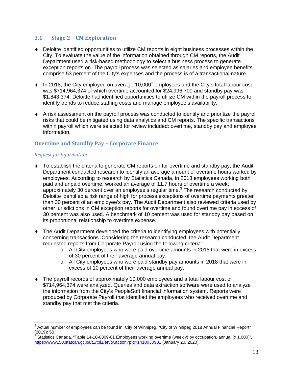#### **3.1 Stage 2 – CM Exploration**

- ♦ Deloitte identified opportunities to utilize CM reports in eight business processes within the City. To evaluate the value of the information obtained through CM reports, the Audit Department used a risk-based methodology to select a business process to generate exception reports on. The payroll process was selected as salaries and employee benefits comprise 53 percent of the City's expenses and the process is of a transactional nature.
- $\bullet$  In [2](#page-6-0)018, the City employed on average 10,000<sup>2</sup> employees and the City's total labour cost was \$714,964,374 of which overtime accounted for \$24,996,700 and standby pay was \$1,843,374. Deloitte had identified opportunities to utilize CM within the payroll process to identify trends to reduce staffing costs and manage employee's availability.
- ♦ A risk assessment on the payroll process was conducted to identify and prioritize the payroll risks that could be mitigated using data analytics and CM reports. The specific transactions within payroll which were selected for review included: overtime, standby pay and employee information.

#### **Overtime and Standby Pay – Corporate Finance**

#### *Request for Information*

- ♦ To establish the criteria to generate CM reports on for overtime and standby pay, the Audit Department conducted research to identify an average amount of overtime hours worked by employees. According to research by Statistics Canada, in 2018 employees working both paid and unpaid overtime, worked an average of 11.7 hours of overtime a week; approximately [3](#page-12-0)0 percent over an employee's regular time.<sup>3</sup> The research conducted by Deloitte identified a risk range of high for process exceptions of overtime payments greater than 30 percent of an employee's pay. The Audit Department also reviewed criteria used by other jurisdictions in CM exception reports for overtime and found overtime pay in excess of 30 percent was also used. A benchmark of 10 percent was used for standby pay based on its proportional relationship to overtime expense.
- ♦ The Audit Department developed the criteria to identifying employees with potentially concerning transactions. Considering the research conducted, the Audit Department requested reports from Corporate Payroll using the following criteria:
	- $\circ$  All City employees who were paid overtime amounts in 2018 that were in excess of 30 percent of their average annual pay.
	- $\circ$  All City employees who were paid standby pay amounts in 2018 that were in excess of 10 percent of their average annual pay.
- ♦ The payroll records of approximately 10,000 employees and a total labour cost of \$714,964,374 were analyzed. Queries and data extraction software were used to analyze the information from the City's PeopleSoft financial information system. Reports were produced by Corporate Payroll that identified the employees who received overtime and standby pay that met the criteria.

 $2$  Actual number of employees can be found in: City of Winnipeg. "City of Winnipeg 2018 Annual Financial Report"  $(2019): 50.$ 

<span id="page-12-1"></span><span id="page-12-0"></span>Statistics Canada. "Table 14-10-0309-01 Employees working overtime (weekly) by occupation, annual (x 1,000)". <https://www150.statcan.gc.ca/t1/tbl1/en/tv.action?pid=1410030901> (January 20, 2020).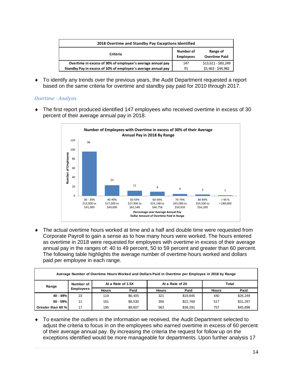| 2018 Overtime and Standby Pay Exceptions Identified           |                               |                                  |
|---------------------------------------------------------------|-------------------------------|----------------------------------|
| Criteria                                                      | Number of<br><b>Employees</b> | Range of<br><b>Overtime Paid</b> |
| Overtime in excess of 30% of employee's average annual pay    | 147                           | \$13,611 - \$83,249              |
| Standby Pay in excess of 10% of employee's average annual pay | 91                            | \$5,463 - \$44,982               |

♦ To identify any trends over the previous years, the Audit Department requested a report based on the same criteria for overtime and standby pay paid for 2010 through 2017.

#### *Overtime - Analysis*

♦ The first report produced identified 147 employees who received overtime in excess of 30 percent of their average annual pay in 2018.



♦ The actual overtime hours worked at time and a half and double time were requested from Corporate Payroll to gain a sense as to how many hours were worked. The hours entered as overtime in 2018 were requested for employees with overtime in excess of their average annual pay in the ranges of: 40 to 49 percent, 50 to 59 percent and greater than 60 percent. The following table highlights the average number of overtime hours worked and dollars paid per employee in each range.

| Average Number of Overtime Hours Worked and Dollars Paid in Overtime per Employee in 2018 by Range |                  |                   |         |                          |          |              |          |
|----------------------------------------------------------------------------------------------------|------------------|-------------------|---------|--------------------------|----------|--------------|----------|
| Range                                                                                              | Number of        | At a Rate of 1.5X |         | At a Rate of 2X<br>Total |          |              |          |
|                                                                                                    | <b>Employees</b> | <b>Hours</b>      | Paid    | <b>Hours</b>             | Paid     | <b>Hours</b> | Paid     |
| 40 - 49%                                                                                           | 23               | 119               | \$6.405 | 321                      | \$19,845 | 440          | \$26,249 |
| $50 - 59%$                                                                                         | 11               | 161               | \$8,530 | 356                      | \$22,768 | 517          | \$31,297 |
| Greater than 60 %                                                                                  | 17               | 195               | \$9,607 | 563                      | \$36,291 | 757          | \$45,898 |

♦ To examine the outliers in the information we received, the Audit Department selected to adjust the criteria to focus in on the employees who earned overtime in excess of 60 percent of their average annual pay. By increasing the criteria the request for follow up on the exceptions identified would be more manageable for departments. Upon further analysis 17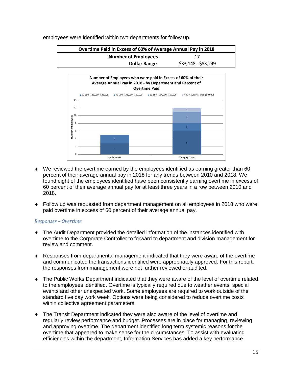

employees were identified within two departments for follow up.



- ♦ We reviewed the overtime earned by the employees identified as earning greater than 60 percent of their average annual pay in 2018 for any trends between 2010 and 2018. We found eight of the employees identified have been consistently earning overtime in excess of 60 percent of their average annual pay for at least three years in a row between 2010 and 2018.
- ♦ Follow up was requested from department management on all employees in 2018 who were paid overtime in excess of 60 percent of their average annual pay.

#### *Responses – Overtime*

- ♦ The Audit Department provided the detailed information of the instances identified with overtime to the Corporate Controller to forward to department and division management for review and comment.
- ♦ Responses from departmental management indicated that they were aware of the overtime and communicated the transactions identified were appropriately approved. For this report, the responses from management were not further reviewed or audited.
- ♦ The Public Works Department indicated that they were aware of the level of overtime related to the employees identified. Overtime is typically required due to weather events, special events and other unexpected work. Some employees are required to work outside of the standard five day work week. Options were being considered to reduce overtime costs within collective agreement parameters.
- ♦ The Transit Department indicated they were also aware of the level of overtime and regularly review performance and budget. Processes are in place for managing, reviewing and approving overtime. The department identified long term systemic reasons for the overtime that appeared to make sense for the circumstances. To assist with evaluating efficiencies within the department, Information Services has added a key performance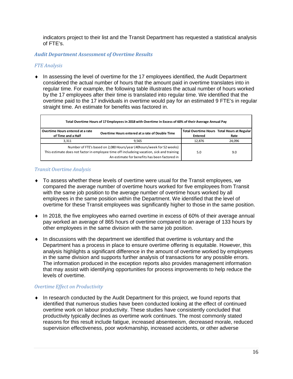indicators project to their list and the Transit Department has requested a statistical analysis of FTE's.

*Audit Department Assessment of Overtime Results*

#### *FTE Analysis*

♦ In assessing the level of overtime for the 17 employees identified, the Audit Department considered the actual number of hours that the amount paid in overtime translates into in regular time. For example, the following table illustrates the actual number of hours worked by the 17 employees after their time is translated into regular time. We identified that the overtime paid to the 17 individuals in overtime would pay for an estimated 9 FTE's in regular straight time. An estimate for benefits was factored in.

| Total Overtime Hours of 17 Employees in 2018 with Overtime in Excess of 60% of their Average Annual Pay                                                                                                             |                                                 |                |                                             |
|---------------------------------------------------------------------------------------------------------------------------------------------------------------------------------------------------------------------|-------------------------------------------------|----------------|---------------------------------------------|
| Overtime Hours entered at a rate                                                                                                                                                                                    | Overtime Hours entered at a rate of Double Time |                | Total Overtime Hours Total Hours at Regular |
| of Time and a Half                                                                                                                                                                                                  |                                                 | <b>Entered</b> | Rate                                        |
| 3.311                                                                                                                                                                                                               | 9.565                                           | 12.876         | 24.096                                      |
| Number of FTE's based on 2,080 Hours/year (40hours/week for 52 weeks)<br>This estimate does not factor in employee time off includeing vacation, sick and training<br>An estimate for benefits has been factored in |                                                 | 5.0            | 9.0                                         |

#### *Transit Overtime Analysis*

- ♦ To assess whether these levels of overtime were usual for the Transit employees, we compared the average number of overtime hours worked for five employees from Transit with the same job position to the average number of overtime hours worked by all employees in the same position within the Department. We identified that the level of overtime for these Transit employees was significantly higher to those in the same position.
- ♦ In 2018, the five employees who earned overtime in excess of 60% of their average annual pay worked an average of 865 hours of overtime compared to an average of 133 hours by other employees in the same division with the same job position.
- ♦ In discussions with the department we identified that overtime is voluntary and the Department has a process in place to ensure overtime offering is equitable. However, this analysis highlights a significant difference in the amount of overtime worked by employees in the same division and supports further analysis of transactions for any possible errors. The information produced in the exception reports also provides management information that may assist with identifying opportunities for process improvements to help reduce the levels of overtime.

#### *Overtime Effect on Productivity*

♦ In research conducted by the Audit Department for this project, we found reports that identified that numerous studies have been conducted looking at the effect of continued overtime work on labour productivity. These studies have consistently concluded that productivity typically declines as overtime work continues. The most commonly stated reasons for this result include fatigue, increased absenteeism, decreased morale, reduced supervision effectiveness, poor workmanship, increased accidents, or other adverse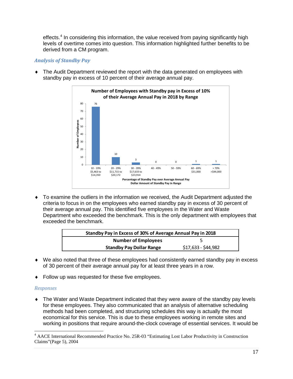effects.<sup>[4](#page-12-1)</sup> In considering this information, the value received from paying significantly high levels of overtime comes into question. This information highlighted further benefits to be derived from a CM program.

#### *Analysis of Standby Pay*

- **Number of Employees with Standby pay in Excess of 10% of their Average Annual Pay in 2018 by Range** 80 76 70 60 ងួ **Number of Employees** Number of Employ 50 40 30 20 10 10 <sup>3</sup> <sup>0</sup> <sup>0</sup> <sup>1</sup> <sup>1</sup>  $\Omega$ 10 - 19% 20 - 29% 30 - 39% 40 - 49% 50 - 59% 60 - 69% > 70% \$5,463 to \$11,715 to \$17,633 to \$31,000 >\$44,000 \$23,914 \$14,350 \$20,172 **Percentage of Standby Pay over Average Annual Pay Dollar Amount of Standby Pay in Range**
- ♦ The Audit Department reviewed the report with the data generated on employees with standby pay in excess of 10 percent of their average annual pay.

♦ To examine the outliers in the information we received, the Audit Department adjusted the criteria to focus in on the employees who earned standby pay in excess of 30 percent of their average annual pay. This identified five employees in the Water and Waste Department who exceeded the benchmark. This is the only department with employees that exceeded the benchmark.

| Standby Pay in Excess of 30% of Average Annual Pay in 2018 |                     |  |
|------------------------------------------------------------|---------------------|--|
| <b>Number of Employees</b>                                 |                     |  |
| <b>Standby Pay Dollar Range</b>                            | \$17,633 - \$44,982 |  |

- ♦ We also noted that three of these employees had consistently earned standby pay in excess of 30 percent of their average annual pay for at least three years in a row.
- ♦ Follow up was requested for these five employees.

#### *Responses*

• The Water and Waste Department indicated that they were aware of the standby pay levels for these employees. They also communicated that an analysis of alternative scheduling methods had been completed, and structuring schedules this way is actually the most economical for this service. This is due to these employees working in remote sites and working in positions that require around-the-clock coverage of essential services. It would be

<sup>4</sup> AACE International Recommended Practice No. 25R-03 "Estimating Lost Labor Productivity in Construction Claims"(Page 5), 2004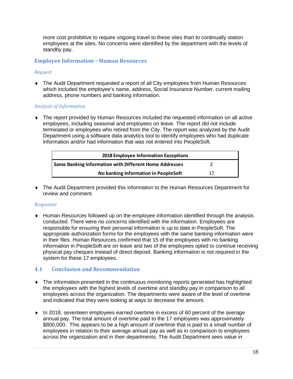more cost prohibitive to require ongoing travel to these sites than to continually station employees at the sites. No concerns were identified by the department with the levels of standby pay.

#### **Employee Information – Human Resources**

#### *Request*

♦ The Audit Department requested a report of all City employees from Human Resources which included the employee's name, address, Social Insurance Number, current mailing address, phone numbers and banking information.

#### *Analysis of Information*

♦ The report provided by Human Resources included the requested information on all active employees, including seasonal and employees on leave. The report did not include terminated or employees who retired from the City. The report was analyzed by the Audit Department using a software data analytics tool to identify employees who had duplicate information and/or had information that was not entered into PeopleSoft.

| 2018 Employee Information Exceptions                          |    |
|---------------------------------------------------------------|----|
| <b>Same Banking Information with Different Home Addresses</b> |    |
| No banking Information in PeopleSoft                          | 17 |

♦ The Audit Department provided this information to the Human Resources Department for review and comment.

#### *Responses*

♦ Human Resources followed up on the employee information identified through the analysis conducted. There were no concerns identified with the information. Employees are responsible for ensuring their personal information is up to date in PeopleSoft. The appropriate authorization forms for the employees with the same banking information were in their files. Human Resources confirmed that 15 of the employees with no banking information in PeopleSoft are on leave and two of the employees opted to continue receiving physical pay cheques instead of direct deposit. Banking information is not required in the system for these 17 employees.

#### **4.1 Conclusion and Recommendation**

- ♦ The information presented in the continuous monitoring reports generated has highlighted the employees with the highest levels of overtime and standby pay in comparison to all employees across the organization. The departments were aware of the level of overtime and indicated that they were looking at ways to decrease the amount.
- ♦ In 2018, seventeen employees earned overtime in excess of 60 percent of the average annual pay. The total amount of overtime paid to the 17 employees was approximately \$800,000. This appears to be a high amount of overtime that is paid to a small number of employees in relation to their average annual pay as well as in comparison to employees across the organization and in their departments. The Audit Department sees value in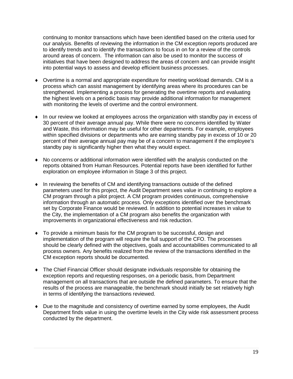continuing to monitor transactions which have been identified based on the criteria used for our analysis. Benefits of reviewing the information in the CM exception reports produced are to identify trends and to identify the transactions to focus in on for a review of the controls around areas of concern. The information can also be used to monitor the success of initiatives that have been designed to address the areas of concern and can provide insight into potential ways to assess and develop efficient business processes.

- ♦ Overtime is a normal and appropriate expenditure for meeting workload demands. CM is a process which can assist management by identifying areas where its procedures can be strengthened. Implementing a process for generating the overtime reports and evaluating the highest levels on a periodic basis may provide additional information for management with monitoring the levels of overtime and the control environment.
- ♦ In our review we looked at employees across the organization with standby pay in excess of 30 percent of their average annual pay. While there were no concerns identified by Water and Waste, this information may be useful for other departments. For example, employees within specified divisions or departments who are earning standby pay in excess of 10 or 20 percent of their average annual pay may be of a concern to management if the employee's standby pay is significantly higher then what they would expect.
- ♦ No concerns or additional information were identified with the analysis conducted on the reports obtained from Human Resources. Potential reports have been identified for further exploration on employee information in Stage 3 of this project.
- ♦ In reviewing the benefits of CM and identifying transactions outside of the defined parameters used for this project, the Audit Department sees value in continuing to explore a CM program through a pilot project. A CM program provides continuous, comprehensive information through an automatic process. Only exceptions identified over the benchmark set by Corporate Finance would be reviewed. In addition to potential increases in value to the City, the implementation of a CM program also benefits the organization with improvements in organizational effectiveness and risk reduction.
- ♦ To provide a minimum basis for the CM program to be successful, design and implementation of the program will require the full support of the CFO. The processes should be clearly defined with the objectives, goals and accountabilities communicated to all process owners. Any benefits realized from the review of the transactions identified in the CM exception reports should be documented.
- ♦ The Chief Financial Officer should designate individuals responsible for obtaining the exception reports and requesting responses, on a periodic basis, from Department management on all transactions that are outside the defined parameters. To ensure that the results of the process are manageable, the benchmark should initially be set relatively high in terms of identifying the transactions reviewed.
- ♦ Due to the magnitude and consistency of overtime earned by some employees, the Audit Department finds value in using the overtime levels in the City wide risk assessment process conducted by the department.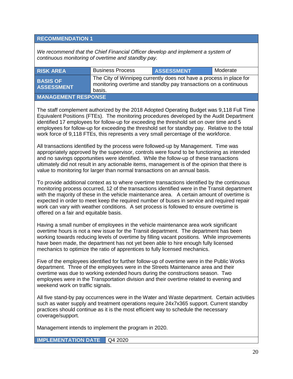#### **RECOMMENDATION 1**

*We recommend that the Chief Financial Officer develop and implement a system of continuous monitoring of overtime and standby pay.* 

| <b>RISK AREA</b>                     | <b>Business Process</b>                                                                                                                           | <b>ASSESSMENT</b> | Moderate |
|--------------------------------------|---------------------------------------------------------------------------------------------------------------------------------------------------|-------------------|----------|
| <b>BASIS OF</b><br><b>ASSESSMENT</b> | The City of Winnipeg currently does not have a process in place for<br>monitoring overtime and standby pay transactions on a continuous<br>basis. |                   |          |
| <b>MANAGEMENT RESPONSE</b>           |                                                                                                                                                   |                   |          |

The staff complement authorized by the 2018 Adopted Operating Budget was 9,118 Full Time Equivalent Positions (FTEs). The monitoring procedures developed by the Audit Department identified 17 employees for follow-up for exceeding the threshold set on over time and 5 employees for follow-up for exceeding the threshold set for standby pay. Relative to the total work force of 9,118 FTEs, this represents a very small percentage of the workforce.

All transactions identified by the process were followed-up by Management. Time was appropriately approved by the supervisor, controls were found to be functioning as intended and no savings opportunities were identified. While the follow-up of these transactions ultimately did not result in any actionable items, management is of the opinion that there is value to monitoring for larger than normal transactions on an annual basis.

To provide additional context as to where overtime transactions identified by the continuous monitoring process occurred, 12 of the transactions identified were in the Transit department with the majority of these in the vehicle maintenance area. A certain amount of overtime is expected in order to meet keep the required number of buses in service and required repair work can vary with weather conditions. A set process is followed to ensure overtime is offered on a fair and equitable basis.

Having a small number of employees in the vehicle maintenance area work significant overtime hours is not a new issue for the Transit department. The department has been working towards reducing levels of overtime by filling vacant positions. While improvements have been made, the department has not yet been able to hire enough fully licensed mechanics to optimize the ratio of apprentices to fully licensed mechanics.

Five of the employees identified for further follow-up of overtime were in the Public Works department. Three of the employees were in the Streets Maintenance area and their overtime was due to working extended hours during the constructions season. Two employees were in the Transportation division and their overtime related to evening and weekend work on traffic signals.

All five stand-by pay occurrences were in the Water and Waste department. Certain activities such as water supply and treatment operations require 24x7x365 support. Current standby practices should continue as it is the most efficient way to schedule the necessary coverage/support.

Management intends to implement the program in 2020.

**IMPLEMENTATION DATE** | Q4 2020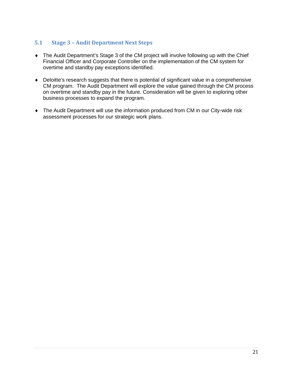#### **5.1 Stage 3 – Audit Department Next Steps**

- ♦ The Audit Department's Stage 3 of the CM project will involve following up with the Chief Financial Officer and Corporate Controller on the implementation of the CM system for overtime and standby pay exceptions identified.
- ♦ Deloitte's research suggests that there is potential of significant value in a comprehensive CM program. The Audit Department will explore the value gained through the CM process on overtime and standby pay in the future. Consideration will be given to exploring other business processes to expand the program.
- ♦ The Audit Department will use the information produced from CM in our City-wide risk assessment processes for our strategic work plans.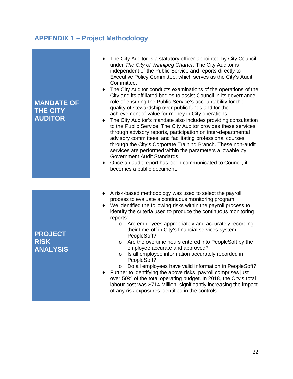## <span id="page-21-0"></span>**APPENDIX 1 – Project Methodology**

| <b>MANDATE OF</b><br><b>THE CITY</b><br><b>AUDITOR</b> | The City Auditor is a statutory officer appointed by City Council<br>under The City of Winnipeg Charter. The City Auditor is<br>independent of the Public Service and reports directly to<br>Executive Policy Committee, which serves as the City's Audit<br>Committee.<br>The City Auditor conducts examinations of the operations of the<br>٠<br>City and its affiliated bodies to assist Council in its governance<br>role of ensuring the Public Service's accountability for the<br>quality of stewardship over public funds and for the<br>achievement of value for money in City operations.<br>The City Auditor's mandate also includes providing consultation<br>to the Public Service. The City Auditor provides these services<br>through advisory reports, participation on inter-departmental<br>advisory committees, and facilitating professional courses<br>through the City's Corporate Training Branch. These non-audit<br>services are performed within the parameters allowable by<br>Government Audit Standards.<br>Once an audit report has been communicated to Council, it<br>becomes a public document. |
|--------------------------------------------------------|----------------------------------------------------------------------------------------------------------------------------------------------------------------------------------------------------------------------------------------------------------------------------------------------------------------------------------------------------------------------------------------------------------------------------------------------------------------------------------------------------------------------------------------------------------------------------------------------------------------------------------------------------------------------------------------------------------------------------------------------------------------------------------------------------------------------------------------------------------------------------------------------------------------------------------------------------------------------------------------------------------------------------------------------------------------------------------------------------------------------------------|
| <b>PROJECT</b><br><b>RISK</b><br><b>ANALYSIS</b>       | A risk-based methodology was used to select the payroll<br>٠<br>process to evaluate a continuous monitoring program.<br>We identified the following risks within the payroll process to<br>identify the criteria used to produce the continuous monitoring<br>reports:<br>Are employees appropriately and accurately recording<br>$\circ$<br>their time-off in City's financial services system<br>PeopleSoft?<br>Are the overtime hours entered into PeopleSoft by the<br>$\circ$<br>employee accurate and approved?<br>Is all employee information accurately recorded in<br>$\circ$<br>PeopleSoft?<br>Do all employees have valid information in PeopleSoft?<br>$\circ$<br>Further to identifying the above risks, payroll comprises just<br>over 50% of the total operating budget. In 2018, the City's total<br>labour cost was \$714 Million, significantly increasing the impact                                                                                                                                                                                                                                          |

of any risk exposures identified in the controls.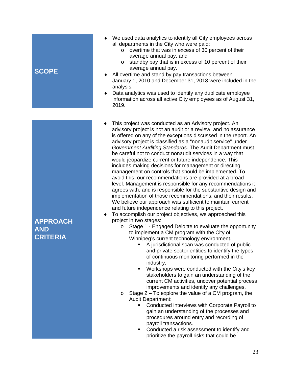### **SCOPE**

#### ♦ We used data analytics to identify all City employees across all departments in the City who were paid:

- o overtime that was in excess of 30 percent of their average annual pay, and
- o standby pay that is in excess of 10 percent of their average annual pay.
- All overtime and stand by pay transactions between January 1, 2010 and December 31, 2018 were included in the analysis.
- ♦ Data analytics was used to identify any duplicate employee information across all active City employees as of August 31, 2019.
- This project was conducted as an Advisory project. An advisory project is not an audit or a review, and no assurance is offered on any of the exceptions discussed in the report. An advisory project is classified as a "nonaudit service" under *Government Auditing Standards.* The Audit Department must be careful not to conduct nonaudit services in a way that would jeopardize current or future independence. This includes making decisions for management or directing management on controls that should be implemented. To avoid this, our recommendations are provided at a broad level. Management is responsible for any recommendations it agrees with, and is responsible for the substantive design and implementation of those recommendations, and their results. We believe our approach was sufficient to maintain current and future independence relating to this project.
- To accomplish our project objectives, we approached this project in two stages:
	- o Stage 1 Engaged Deloitte to evaluate the opportunity to implement a CM program with the City of Winnipeg's current technology environment.
		- A jurisdictional scan was conducted of public and private sector entities to identify the types of continuous monitoring performed in the industry.
		- **Workshops were conducted with the City's key** stakeholders to gain an understanding of the current CM activities, uncover potential process improvements and identify any challenges.
	- $\circ$  Stage 2 To explore the value of a CM program, the Audit Department:
		- **Conducted interviews with Corporate Payroll to** gain an understanding of the processes and procedures around entry and recording of payroll transactions.
		- **Conducted a risk assessment to identify and** prioritize the payroll risks that could be

## **AND CRITERIA**

**APPROACH**